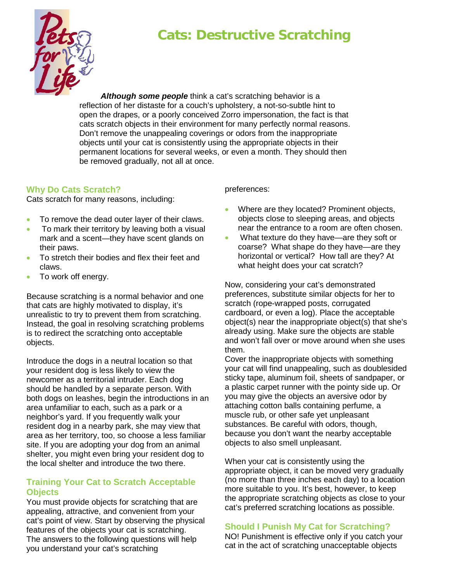# **Cats: Destructive Scratching**



*Although some people* think a cat's scratching behavior is a reflection of her distaste for a couch's upholstery, a not-so-subtle hint to open the drapes, or a poorly conceived Zorro impersonation, the fact is that cats scratch objects in their environment for many perfectly normal reasons. Don't remove the unappealing coverings or odors from the inappropriate objects until your cat is consistently using the appropriate objects in their permanent locations for several weeks, or even a month. They should then be removed gradually, not all at once.

## **Why Do Cats Scratch?**

Cats scratch for many reasons, including:

- To remove the dead outer layer of their claws.
- To mark their territory by leaving both a visual mark and a scent—they have scent glands on their paws.
- To stretch their bodies and flex their feet and claws.
- To work off energy.

Because scratching is a normal behavior and one that cats are highly motivated to display, it's unrealistic to try to prevent them from scratching. Instead, the goal in resolving scratching problems is to redirect the scratching onto acceptable objects.

Introduce the dogs in a neutral location so that your resident dog is less likely to view the newcomer as a territorial intruder. Each dog should be handled by a separate person. With both dogs on leashes, begin the introductions in an area unfamiliar to each, such as a park or a neighbor's yard. If you frequently walk your resident dog in a nearby park, she may view that area as her territory, too, so choose a less familiar site. If you are adopting your dog from an animal shelter, you might even bring your resident dog to the local shelter and introduce the two there.

## **Training Your Cat to Scratch Acceptable Objects**

You must provide objects for scratching that are appealing, attractive, and convenient from your cat's point of view. Start by observing the physical features of the objects your cat is scratching. The answers to the following questions will help you understand your cat's scratching

preferences:

- Where are they located? Prominent objects, objects close to sleeping areas, and objects near the entrance to a room are often chosen.
- What texture do they have—are they soft or coarse? What shape do they have—are they horizontal or vertical? How tall are they? At what height does your cat scratch?

Now, considering your cat's demonstrated preferences, substitute similar objects for her to scratch (rope-wrapped posts, corrugated cardboard, or even a log). Place the acceptable object(s) near the inappropriate object(s) that she's already using. Make sure the objects are stable and won't fall over or move around when she uses them.

Cover the inappropriate objects with something your cat will find unappealing, such as doublesided sticky tape, aluminum foil, sheets of sandpaper, or a plastic carpet runner with the pointy side up. Or you may give the objects an aversive odor by attaching cotton balls containing perfume, a muscle rub, or other safe yet unpleasant substances. Be careful with odors, though, because you don't want the nearby acceptable objects to also smell unpleasant.

When your cat is consistently using the appropriate object, it can be moved very gradually (no more than three inches each day) to a location more suitable to you. It's best, however, to keep the appropriate scratching objects as close to your cat's preferred scratching locations as possible.

# **Should I Punish My Cat for Scratching?**

NO! Punishment is effective only if you catch your cat in the act of scratching unacceptable objects